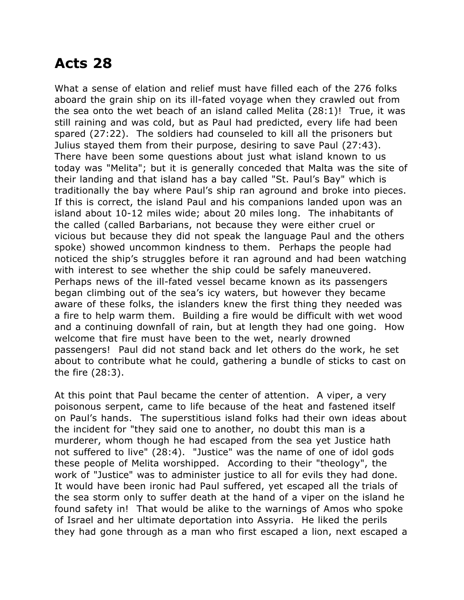## **Acts 28**

What a sense of elation and relief must have filled each of the 276 folks aboard the grain ship on its ill-fated voyage when they crawled out from the sea onto the wet beach of an island called Melita (28:1)! True, it was still raining and was cold, but as Paul had predicted, every life had been spared (27:22). The soldiers had counseled to kill all the prisoners but Julius stayed them from their purpose, desiring to save Paul (27:43). There have been some questions about just what island known to us today was "Melita"; but it is generally conceded that Malta was the site of their landing and that island has a bay called "St. Paul's Bay" which is traditionally the bay where Paul's ship ran aground and broke into pieces. If this is correct, the island Paul and his companions landed upon was an island about 10-12 miles wide; about 20 miles long. The inhabitants of the called (called Barbarians, not because they were either cruel or vicious but because they did not speak the language Paul and the others spoke) showed uncommon kindness to them. Perhaps the people had noticed the ship's struggles before it ran aground and had been watching with interest to see whether the ship could be safely maneuvered. Perhaps news of the ill-fated vessel became known as its passengers began climbing out of the sea's icy waters, but however they became aware of these folks, the islanders knew the first thing they needed was a fire to help warm them. Building a fire would be difficult with wet wood and a continuing downfall of rain, but at length they had one going. How welcome that fire must have been to the wet, nearly drowned passengers! Paul did not stand back and let others do the work, he set about to contribute what he could, gathering a bundle of sticks to cast on the fire (28:3).

At this point that Paul became the center of attention. A viper, a very poisonous serpent, came to life because of the heat and fastened itself on Paul's hands. The superstitious island folks had their own ideas about the incident for "they said one to another, no doubt this man is a murderer, whom though he had escaped from the sea yet Justice hath not suffered to live" (28:4). "Justice" was the name of one of idol gods these people of Melita worshipped. According to their "theology", the work of "Justice" was to administer justice to all for evils they had done. It would have been ironic had Paul suffered, yet escaped all the trials of the sea storm only to suffer death at the hand of a viper on the island he found safety in! That would be alike to the warnings of Amos who spoke of Israel and her ultimate deportation into Assyria. He liked the perils they had gone through as a man who first escaped a lion, next escaped a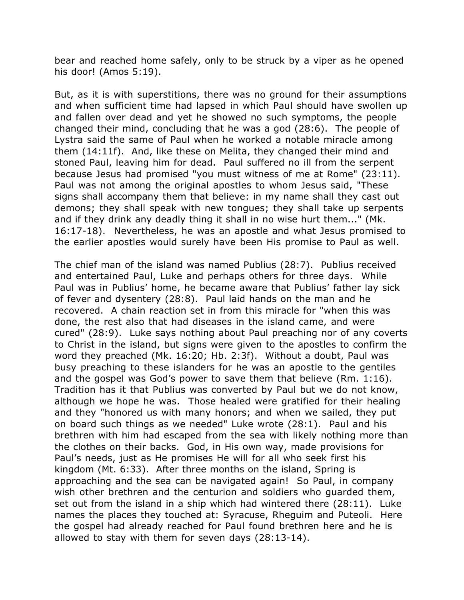bear and reached home safely, only to be struck by a viper as he opened his door! (Amos 5:19).

But, as it is with superstitions, there was no ground for their assumptions and when sufficient time had lapsed in which Paul should have swollen up and fallen over dead and yet he showed no such symptoms, the people changed their mind, concluding that he was a god (28:6). The people of Lystra said the same of Paul when he worked a notable miracle among them (14:11f). And, like these on Melita, they changed their mind and stoned Paul, leaving him for dead. Paul suffered no ill from the serpent because Jesus had promised "you must witness of me at Rome" (23:11). Paul was not among the original apostles to whom Jesus said, "These signs shall accompany them that believe: in my name shall they cast out demons; they shall speak with new tongues; they shall take up serpents and if they drink any deadly thing it shall in no wise hurt them..." (Mk. 16:17-18). Nevertheless, he was an apostle and what Jesus promised to the earlier apostles would surely have been His promise to Paul as well.

The chief man of the island was named Publius (28:7). Publius received and entertained Paul, Luke and perhaps others for three days. While Paul was in Publius' home, he became aware that Publius' father lay sick of fever and dysentery (28:8). Paul laid hands on the man and he recovered. A chain reaction set in from this miracle for "when this was done, the rest also that had diseases in the island came, and were cured" (28:9). Luke says nothing about Paul preaching nor of any coverts to Christ in the island, but signs were given to the apostles to confirm the word they preached (Mk. 16:20; Hb. 2:3f). Without a doubt, Paul was busy preaching to these islanders for he was an apostle to the gentiles and the gospel was God's power to save them that believe (Rm. 1:16). Tradition has it that Publius was converted by Paul but we do not know, although we hope he was. Those healed were gratified for their healing and they "honored us with many honors; and when we sailed, they put on board such things as we needed" Luke wrote (28:1). Paul and his brethren with him had escaped from the sea with likely nothing more than the clothes on their backs. God, in His own way, made provisions for Paul's needs, just as He promises He will for all who seek first his kingdom (Mt. 6:33). After three months on the island, Spring is approaching and the sea can be navigated again! So Paul, in company wish other brethren and the centurion and soldiers who guarded them, set out from the island in a ship which had wintered there (28:11). Luke names the places they touched at: Syracuse, Rheguim and Puteoli. Here the gospel had already reached for Paul found brethren here and he is allowed to stay with them for seven days (28:13-14).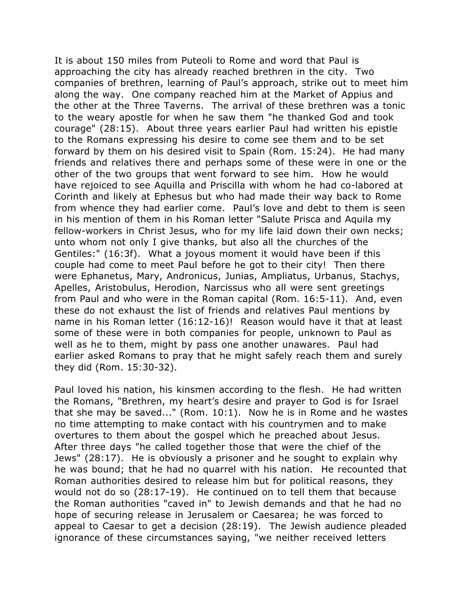It is about 150 miles from Puteoli to Rome and word that Paul is approaching the city has already reached brethren in the city. Two companies of brethren, learning of Paul's approach, strike out to meet him along the way. One company reached him at the Market of Appius and the other at the Three Taverns. The arrival of these brethren was a tonic to the weary apostle for when he saw them "he thanked God and took courage" (28:15). About three years earlier Paul had written his epistle to the Romans expressing his desire to come see them and to be set forward by them on his desired visit to Spain (Rom. 15:24). He had many friends and relatives there and perhaps some of these were in one or the other of the two groups that went forward to see him. How he would have rejoiced to see Aquilla and Priscilla with whom he had co-labored at Corinth and likely at Ephesus but who had made their way back to Rome from whence they had earlier come. Paul's love and debt to them is seen in his mention of them in his Roman letter "Salute Prisca and Aquila my fellow-workers in Christ Jesus, who for my life laid down their own necks; unto whom not only I give thanks, but also all the churches of the Gentiles:" (16:3f). What a joyous moment it would have been if this couple had come to meet Paul before he got to their city! Then there were Ephanetus, Mary, Andronicus, Junias, Ampliatus, Urbanus, Stachys, Apelles, Aristobulus, Herodion, Narcissus who all were sent greetings from Paul and who were in the Roman capital (Rom. 16:5-11). And, even these do not exhaust the list of friends and relatives Paul mentions by name in his Roman letter (16:12-16)! Reason would have it that at least some of these were in both companies for people, unknown to Paul as well as he to them, might by pass one another unawares. Paul had earlier asked Romans to pray that he might safely reach them and surely they did (Rom. 15:30-32).

Paul loved his nation, his kinsmen according to the flesh. He had written the Romans, "Brethren, my heart's desire and prayer to God is for Israel that she may be saved..." (Rom. 10:1). Now he is in Rome and he wastes no time attempting to make contact with his countrymen and to make overtures to them about the gospel which he preached about Jesus. After three days "he called together those that were the chief of the Jews" (28:17). He is obviously a prisoner and he sought to explain why he was bound; that he had no quarrel with his nation. He recounted that Roman authorities desired to release him but for political reasons, they would not do so (28:17-19). He continued on to tell them that because the Roman authorities "caved in" to Jewish demands and that he had no hope of securing release in Jerusalem or Caesarea; he was forced to appeal to Caesar to get a decision (28:19). The Jewish audience pleaded ignorance of these circumstances saying, "we neither received letters